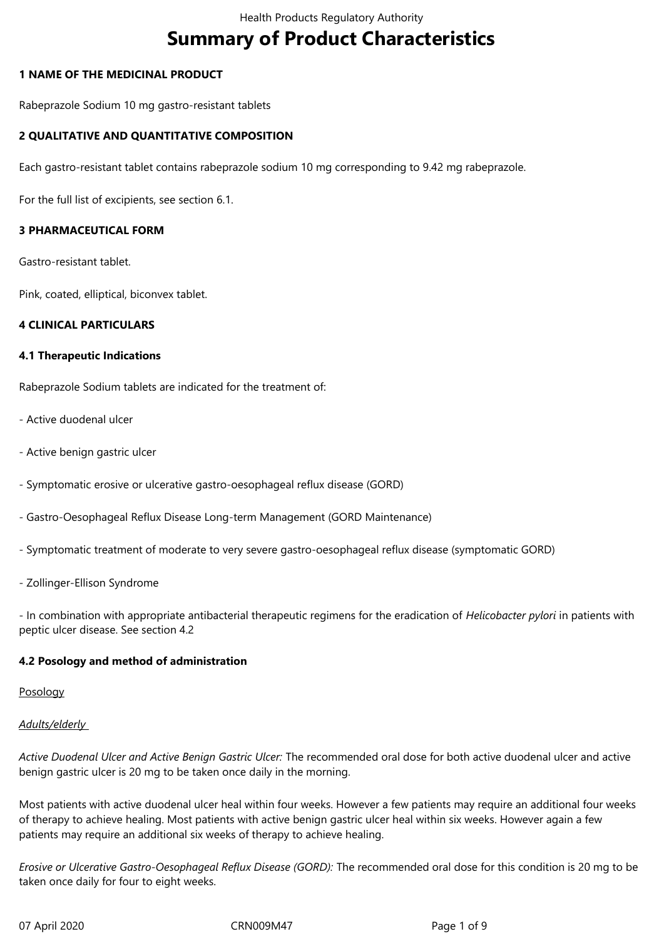# **Summary of Product Characteristics**

# **1 NAME OF THE MEDICINAL PRODUCT**

Rabeprazole Sodium 10 mg gastro-resistant tablets

# **2 QUALITATIVE AND QUANTITATIVE COMPOSITION**

Each gastro-resistant tablet contains rabeprazole sodium 10 mg corresponding to 9.42 mg rabeprazole.

For the full list of excipients, see section 6.1.

# **3 PHARMACEUTICAL FORM**

Gastro-resistant tablet.

Pink, coated, elliptical, biconvex tablet.

## **4 CLINICAL PARTICULARS**

## **4.1 Therapeutic Indications**

Rabeprazole Sodium tablets are indicated for the treatment of:

- Active duodenal ulcer
- Active benign gastric ulcer
- Symptomatic erosive or ulcerative gastro-oesophageal reflux disease (GORD)
- Gastro-Oesophageal Reflux Disease Long-term Management (GORD Maintenance)
- Symptomatic treatment of moderate to very severe gastro-oesophageal reflux disease (symptomatic GORD)
- Zollinger-Ellison Syndrome

- In combination with appropriate antibacterial therapeutic regimens for the eradication of *Helicobacter pylori* in patients with peptic ulcer disease. See section 4.2

# **4.2 Posology and method of administration**

## Posology

## *Adults/elderly*

*Active Duodenal Ulcer and Active Benign Gastric Ulcer:* The recommended oral dose for both active duodenal ulcer and active benign gastric ulcer is 20 mg to be taken once daily in the morning.

Most patients with active duodenal ulcer heal within four weeks. However a few patients may require an additional four weeks of therapy to achieve healing. Most patients with active benign gastric ulcer heal within six weeks. However again a few patients may require an additional six weeks of therapy to achieve healing.

*Erosive or Ulcerative Gastro-Oesophageal Reflux Disease (GORD):* The recommended oral dose for this condition is 20 mg to be taken once daily for four to eight weeks.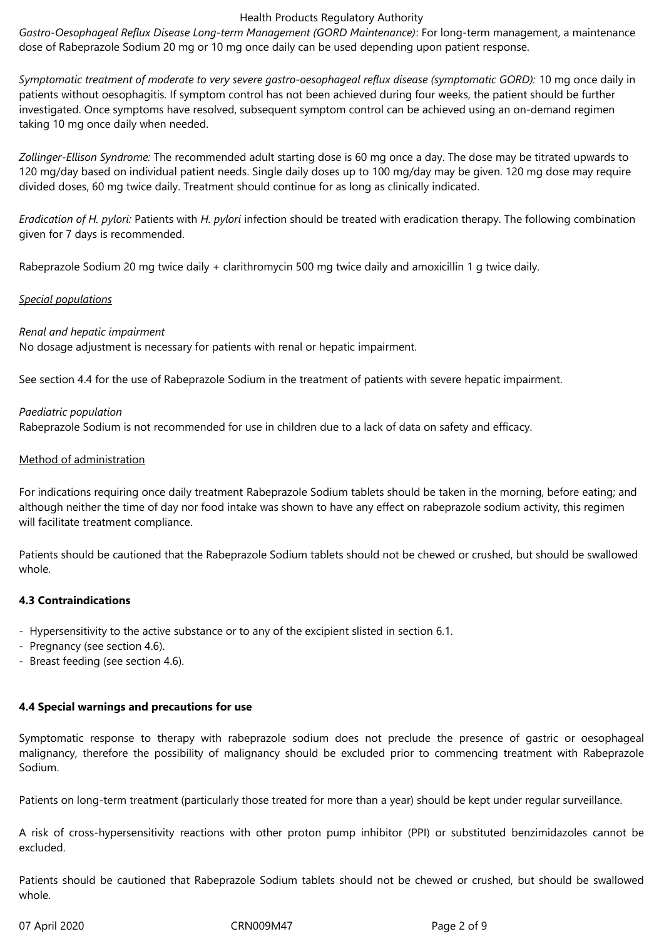*Gastro-Oesophageal Reflux Disease Long-term Management (GORD Maintenance)*: For long-term management, a maintenance dose of Rabeprazole Sodium 20 mg or 10 mg once daily can be used depending upon patient response.

*Symptomatic treatment of moderate to very severe gastro-oesophageal reflux disease (symptomatic GORD):* 10 mg once daily in patients without oesophagitis. If symptom control has not been achieved during four weeks, the patient should be further investigated. Once symptoms have resolved, subsequent symptom control can be achieved using an on-demand regimen taking 10 mg once daily when needed.

*Zollinger-Ellison Syndrome:* The recommended adult starting dose is 60 mg once a day. The dose may be titrated upwards to 120 mg/day based on individual patient needs. Single daily doses up to 100 mg/day may be given. 120 mg dose may require divided doses, 60 mg twice daily. Treatment should continue for as long as clinically indicated.

*Eradication of H. pylori:* Patients with *H. pylori* infection should be treated with eradication therapy. The following combination given for 7 days is recommended.

Rabeprazole Sodium 20 mg twice daily + clarithromycin 500 mg twice daily and amoxicillin 1 g twice daily.

# *Special populations*

*Renal and hepatic impairment*

No dosage adjustment is necessary for patients with renal or hepatic impairment.

See section 4.4 for the use of Rabeprazole Sodium in the treatment of patients with severe hepatic impairment.

# *Paediatric population*

Rabeprazole Sodium is not recommended for use in children due to a lack of data on safety and efficacy.

# Method of administration

For indications requiring once daily treatment Rabeprazole Sodium tablets should be taken in the morning, before eating; and although neither the time of day nor food intake was shown to have any effect on rabeprazole sodium activity, this regimen will facilitate treatment compliance.

Patients should be cautioned that the Rabeprazole Sodium tablets should not be chewed or crushed, but should be swallowed whole.

# **4.3 Contraindications**

- Hypersensitivity to the active substance or to any of the excipient slisted in section 6.1.
- Pregnancy (see section 4.6).
- Breast feeding (see section 4.6).

# **4.4 Special warnings and precautions for use**

Symptomatic response to therapy with rabeprazole sodium does not preclude the presence of gastric or oesophageal malignancy, therefore the possibility of malignancy should be excluded prior to commencing treatment with Rabeprazole Sodium.

Patients on long-term treatment (particularly those treated for more than a year) should be kept under regular surveillance.

A risk of cross-hypersensitivity reactions with other proton pump inhibitor (PPI) or substituted benzimidazoles cannot be excluded.

Patients should be cautioned that Rabeprazole Sodium tablets should not be chewed or crushed, but should be swallowed whole.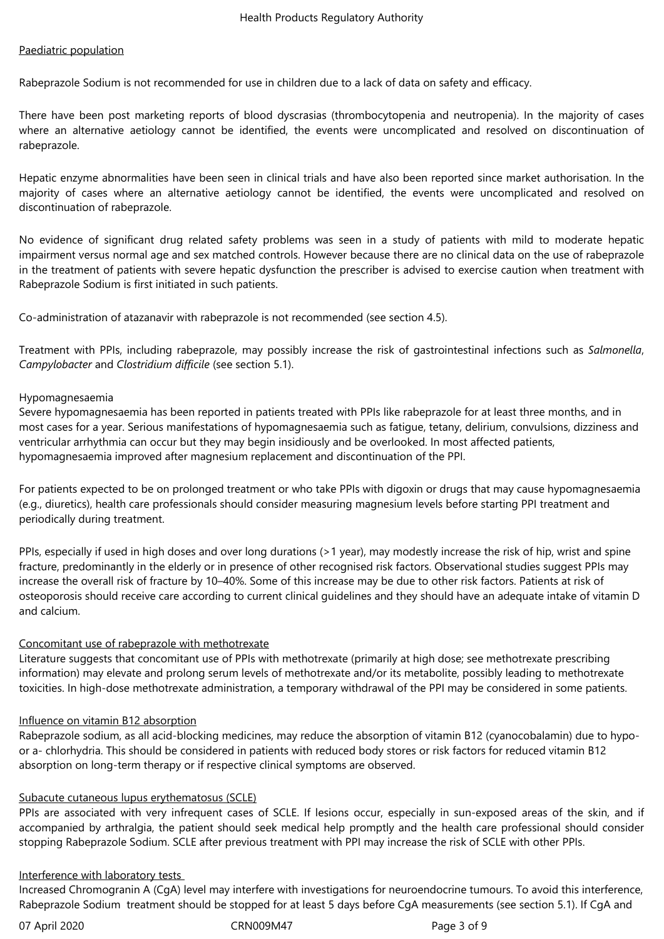# Paediatric population

Rabeprazole Sodium is not recommended for use in children due to a lack of data on safety and efficacy.

There have been post marketing reports of blood dyscrasias (thrombocytopenia and neutropenia). In the majority of cases where an alternative aetiology cannot be identified, the events were uncomplicated and resolved on discontinuation of rabeprazole.

Hepatic enzyme abnormalities have been seen in clinical trials and have also been reported since market authorisation. In the majority of cases where an alternative aetiology cannot be identified, the events were uncomplicated and resolved on discontinuation of rabeprazole.

No evidence of significant drug related safety problems was seen in a study of patients with mild to moderate hepatic impairment versus normal age and sex matched controls. However because there are no clinical data on the use of rabeprazole in the treatment of patients with severe hepatic dysfunction the prescriber is advised to exercise caution when treatment with Rabeprazole Sodium is first initiated in such patients.

Co-administration of atazanavir with rabeprazole is not recommended (see section 4.5).

Treatment with PPIs, including rabeprazole, may possibly increase the risk of gastrointestinal infections such as *Salmonella*, *Campylobacter* and *Clostridium difficile* (see section 5.1).

## Hypomagnesaemia

Severe hypomagnesaemia has been reported in patients treated with PPIs like rabeprazole for at least three months, and in most cases for a year. Serious manifestations of hypomagnesaemia such as fatigue, tetany, delirium, convulsions, dizziness and ventricular arrhythmia can occur but they may begin insidiously and be overlooked. In most affected patients, hypomagnesaemia improved after magnesium replacement and discontinuation of the PPI.

For patients expected to be on prolonged treatment or who take PPIs with digoxin or drugs that may cause hypomagnesaemia (e.g., diuretics), health care professionals should consider measuring magnesium levels before starting PPI treatment and periodically during treatment.

PPIs, especially if used in high doses and over long durations (>1 year), may modestly increase the risk of hip, wrist and spine fracture, predominantly in the elderly or in presence of other recognised risk factors. Observational studies suggest PPIs may increase the overall risk of fracture by 10–40%. Some of this increase may be due to other risk factors. Patients at risk of osteoporosis should receive care according to current clinical guidelines and they should have an adequate intake of vitamin D and calcium.

# Concomitant use of rabeprazole with methotrexate

Literature suggests that concomitant use of PPIs with methotrexate (primarily at high dose; see methotrexate prescribing information) may elevate and prolong serum levels of methotrexate and/or its metabolite, possibly leading to methotrexate toxicities. In high-dose methotrexate administration, a temporary withdrawal of the PPI may be considered in some patients.

## Influence on vitamin B12 absorption

Rabeprazole sodium, as all acid-blocking medicines, may reduce the absorption of vitamin B12 (cyanocobalamin) due to hypoor a- chlorhydria. This should be considered in patients with reduced body stores or risk factors for reduced vitamin B12 absorption on long-term therapy or if respective clinical symptoms are observed.

# Subacute cutaneous lupus erythematosus (SCLE)

PPIs are associated with very infrequent cases of SCLE. If lesions occur, especially in sun-exposed areas of the skin, and if accompanied by arthralgia, the patient should seek medical help promptly and the health care professional should consider stopping Rabeprazole Sodium. SCLE after previous treatment with PPI may increase the risk of SCLE with other PPIs.

## Interference with laboratory tests

Increased Chromogranin A (CgA) level may interfere with investigations for neuroendocrine tumours. To avoid this interference, Rabeprazole Sodium treatment should be stopped for at least 5 days before CgA measurements (see section 5.1). If CgA and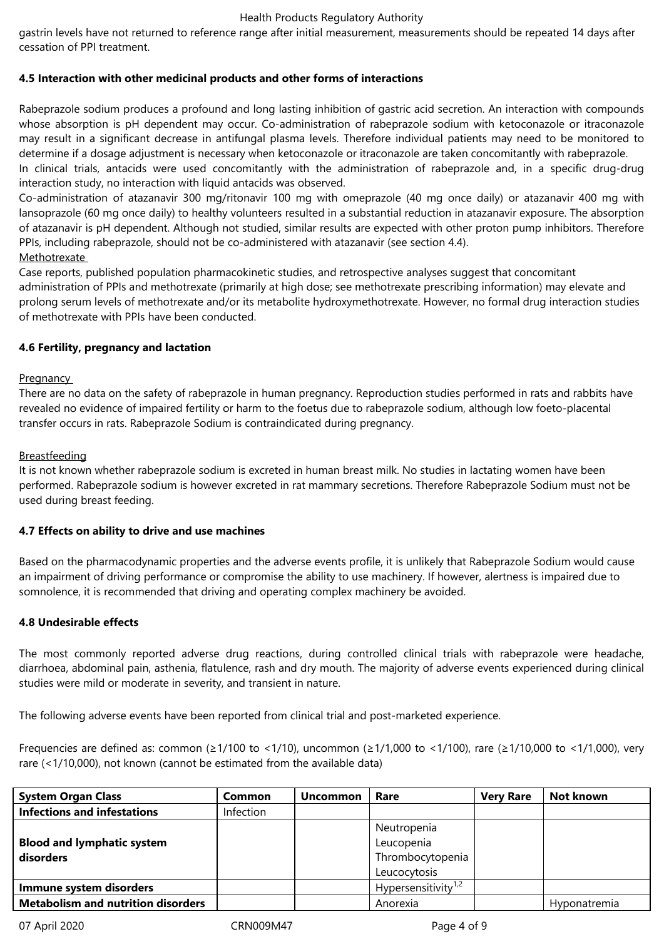gastrin levels have not returned to reference range after initial measurement, measurements should be repeated 14 days after cessation of PPI treatment.

# **4.5 Interaction with other medicinal products and other forms of interactions**

Rabeprazole sodium produces a profound and long lasting inhibition of gastric acid secretion. An interaction with compounds whose absorption is pH dependent may occur. Co-administration of rabeprazole sodium with ketoconazole or itraconazole may result in a significant decrease in antifungal plasma levels. Therefore individual patients may need to be monitored to determine if a dosage adjustment is necessary when ketoconazole or itraconazole are taken concomitantly with rabeprazole. In clinical trials, antacids were used concomitantly with the administration of rabeprazole and, in a specific drug-drug interaction study, no interaction with liquid antacids was observed.

Co-administration of atazanavir 300 mg/ritonavir 100 mg with omeprazole (40 mg once daily) or atazanavir 400 mg with lansoprazole (60 mg once daily) to healthy volunteers resulted in a substantial reduction in atazanavir exposure. The absorption of atazanavir is pH dependent. Although not studied, similar results are expected with other proton pump inhibitors. Therefore PPIs, including rabeprazole, should not be co-administered with atazanavir (see section 4.4).

# Methotrexate

Case reports, published population pharmacokinetic studies, and retrospective analyses suggest that concomitant administration of PPIs and methotrexate (primarily at high dose; see methotrexate prescribing information) may elevate and prolong serum levels of methotrexate and/or its metabolite hydroxymethotrexate. However, no formal drug interaction studies of methotrexate with PPIs have been conducted.

## **4.6 Fertility, pregnancy and lactation**

## Pregnancy

There are no data on the safety of rabeprazole in human pregnancy. Reproduction studies performed in rats and rabbits have revealed no evidence of impaired fertility or harm to the foetus due to rabeprazole sodium, although low foeto-placental transfer occurs in rats. Rabeprazole Sodium is contraindicated during pregnancy.

# **Breastfeeding**

It is not known whether rabeprazole sodium is excreted in human breast milk. No studies in lactating women have been performed. Rabeprazole sodium is however excreted in rat mammary secretions. Therefore Rabeprazole Sodium must not be used during breast feeding.

## **4.7 Effects on ability to drive and use machines**

Based on the pharmacodynamic properties and the adverse events profile, it is unlikely that Rabeprazole Sodium would cause an impairment of driving performance or compromise the ability to use machinery. If however, alertness is impaired due to somnolence, it is recommended that driving and operating complex machinery be avoided.

## **4.8 Undesirable effects**

The most commonly reported adverse drug reactions, during controlled clinical trials with rabeprazole were headache, diarrhoea, abdominal pain, asthenia, flatulence, rash and dry mouth. The majority of adverse events experienced during clinical studies were mild or moderate in severity, and transient in nature.

The following adverse events have been reported from clinical trial and post-marketed experience.

Frequencies are defined as: common (≥1/100 to <1/10), uncommon (≥1/1,000 to <1/100), rare (≥1/10,000 to <1/1,000), very rare (<1/10,000), not known (cannot be estimated from the available data)

| <b>System Organ Class</b>                 | Common    | <b>Uncommon</b> | Rare                            | <b>Very Rare</b> | Not known    |
|-------------------------------------------|-----------|-----------------|---------------------------------|------------------|--------------|
| <b>Infections and infestations</b>        | Infection |                 |                                 |                  |              |
|                                           |           |                 | Neutropenia                     |                  |              |
| <b>Blood and lymphatic system</b>         |           |                 | Leucopenia                      |                  |              |
| disorders                                 |           |                 | Thrombocytopenia                |                  |              |
|                                           |           |                 | Leucocytosis                    |                  |              |
| Immune system disorders                   |           |                 | Hypersensitivity <sup>1,2</sup> |                  |              |
| <b>Metabolism and nutrition disorders</b> |           |                 | Anorexia                        |                  | Hyponatremia |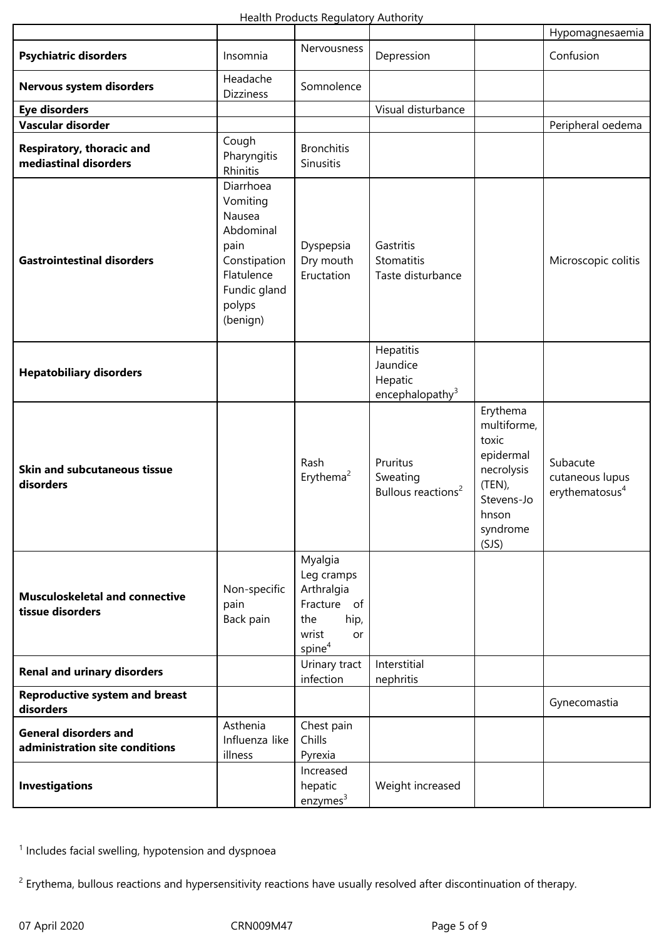|                                                                |                                                                                                                          |                                                                                                        |                                                        |                                                                                                                      | Hypomagnesaemia                                           |
|----------------------------------------------------------------|--------------------------------------------------------------------------------------------------------------------------|--------------------------------------------------------------------------------------------------------|--------------------------------------------------------|----------------------------------------------------------------------------------------------------------------------|-----------------------------------------------------------|
| <b>Psychiatric disorders</b>                                   | Insomnia                                                                                                                 | Nervousness                                                                                            | Depression                                             |                                                                                                                      | Confusion                                                 |
| Nervous system disorders                                       | Headache<br><b>Dizziness</b>                                                                                             | Somnolence                                                                                             |                                                        |                                                                                                                      |                                                           |
| <b>Eye disorders</b>                                           |                                                                                                                          |                                                                                                        | Visual disturbance                                     |                                                                                                                      |                                                           |
| Vascular disorder                                              |                                                                                                                          |                                                                                                        |                                                        |                                                                                                                      | Peripheral oedema                                         |
| Respiratory, thoracic and<br>mediastinal disorders             | Cough<br>Pharyngitis<br>Rhinitis                                                                                         | <b>Bronchitis</b><br>Sinusitis                                                                         |                                                        |                                                                                                                      |                                                           |
| <b>Gastrointestinal disorders</b>                              | Diarrhoea<br>Vomiting<br>Nausea<br>Abdominal<br>pain<br>Constipation<br>Flatulence<br>Fundic gland<br>polyps<br>(benign) | Dyspepsia<br>Dry mouth<br>Eructation                                                                   | Gastritis<br>Stomatitis<br>Taste disturbance           |                                                                                                                      | Microscopic colitis                                       |
| <b>Hepatobiliary disorders</b>                                 |                                                                                                                          |                                                                                                        | Hepatitis<br>Jaundice<br>Hepatic<br>encephalopathy $3$ |                                                                                                                      |                                                           |
| <b>Skin and subcutaneous tissue</b><br>disorders               |                                                                                                                          | Rash<br>Erythema <sup>2</sup>                                                                          | Pruritus<br>Sweating<br>Bullous reactions <sup>2</sup> | Erythema<br>multiforme,<br>toxic<br>epidermal<br>necrolysis<br>$(TEN)$ ,<br>Stevens-Jo<br>hnson<br>syndrome<br>(SJS) | Subacute<br>cutaneous lupus<br>erythematosus <sup>4</sup> |
| <b>Musculoskeletal and connective</b><br>tissue disorders      | Non-specific<br>pain<br>Back pain                                                                                        | Myalgia<br>Leg cramps<br>Arthralgia<br>Fracture of<br>hip,<br>the<br>wrist<br>or<br>spine <sup>4</sup> |                                                        |                                                                                                                      |                                                           |
| <b>Renal and urinary disorders</b>                             |                                                                                                                          | Urinary tract<br>infection                                                                             | Interstitial<br>nephritis                              |                                                                                                                      |                                                           |
| <b>Reproductive system and breast</b><br>disorders             |                                                                                                                          |                                                                                                        |                                                        |                                                                                                                      | Gynecomastia                                              |
| <b>General disorders and</b><br>administration site conditions | Asthenia<br>Influenza like<br>illness                                                                                    | Chest pain<br>Chills<br>Pyrexia                                                                        |                                                        |                                                                                                                      |                                                           |
| <b>Investigations</b>                                          |                                                                                                                          | Increased<br>hepatic<br>enzymes <sup>3</sup>                                                           | Weight increased                                       |                                                                                                                      |                                                           |

<sup>1</sup> Includes facial swelling, hypotension and dyspnoea

<sup>2</sup> Erythema, bullous reactions and hypersensitivity reactions have usually resolved after discontinuation of therapy.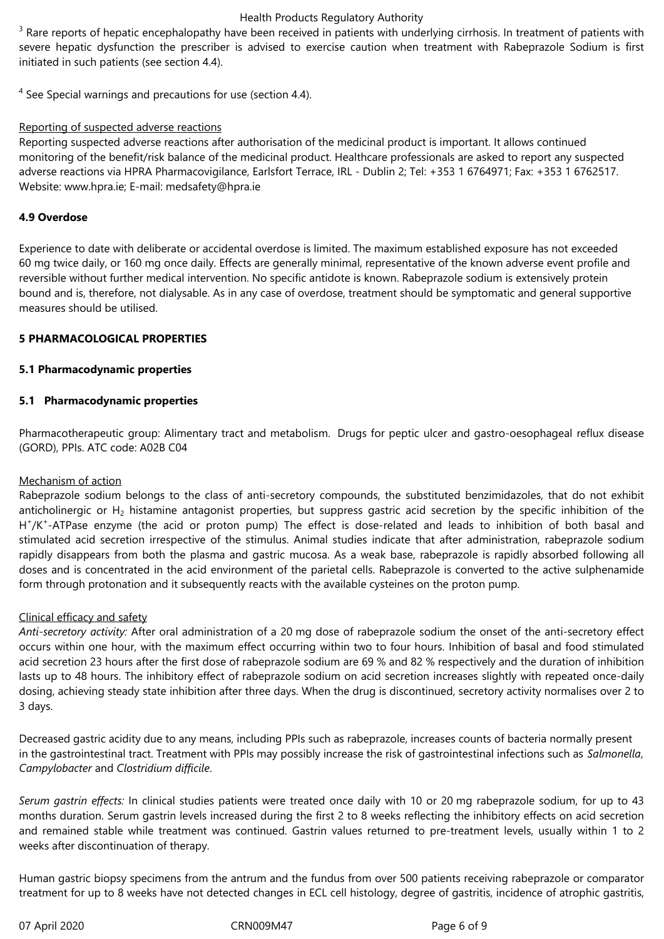$3$  Rare reports of hepatic encephalopathy have been received in patients with underlying cirrhosis. In treatment of patients with severe hepatic dysfunction the prescriber is advised to exercise caution when treatment with Rabeprazole Sodium is first initiated in such patients (see section 4.4).

 $<sup>4</sup>$  See Special warnings and precautions for use (section 4.4).</sup>

# Reporting of suspected adverse reactions

Reporting suspected adverse reactions after authorisation of the medicinal product is important. It allows continued monitoring of the benefit/risk balance of the medicinal product. Healthcare professionals are asked to report any suspected adverse reactions via HPRA Pharmacovigilance, Earlsfort Terrace, IRL - Dublin 2; Tel: +353 1 6764971; Fax: +353 1 6762517. Website: www.hpra.ie; E-mail: medsafety@hpra.ie

# **4.9 Overdose**

Experience to date with deliberate or accidental overdose is limited. The maximum established exposure has not exceeded 60 mg twice daily, or 160 mg once daily. Effects are generally minimal, representative of the known adverse event profile and reversible without further medical intervention. No specific antidote is known. Rabeprazole sodium is extensively protein bound and is, therefore, not dialysable. As in any case of overdose, treatment should be symptomatic and general supportive measures should be utilised.

# **5 PHARMACOLOGICAL PROPERTIES**

# **5.1 Pharmacodynamic properties**

# **5.1 Pharmacodynamic properties**

Pharmacotherapeutic group: Alimentary tract and metabolism. Drugs for peptic ulcer and gastro-oesophageal reflux disease (GORD), PPIs. ATC code: A02B C04

## Mechanism of action

Rabeprazole sodium belongs to the class of anti-secretory compounds, the substituted benzimidazoles, that do not exhibit anticholinergic or  $H_2$  histamine antagonist properties, but suppress gastric acid secretion by the specific inhibition of the H<sup>+</sup>/K<sup>+</sup>-ATPase enzyme (the acid or proton pump) The effect is dose-related and leads to inhibition of both basal and stimulated acid secretion irrespective of the stimulus. Animal studies indicate that after administration, rabeprazole sodium rapidly disappears from both the plasma and gastric mucosa. As a weak base, rabeprazole is rapidly absorbed following all doses and is concentrated in the acid environment of the parietal cells. Rabeprazole is converted to the active sulphenamide form through protonation and it subsequently reacts with the available cysteines on the proton pump.

## Clinical efficacy and safety

*Anti-secretory activity:* After oral administration of a 20 mg dose of rabeprazole sodium the onset of the anti-secretory effect occurs within one hour, with the maximum effect occurring within two to four hours. Inhibition of basal and food stimulated acid secretion 23 hours after the first dose of rabeprazole sodium are 69 % and 82 % respectively and the duration of inhibition lasts up to 48 hours. The inhibitory effect of rabeprazole sodium on acid secretion increases slightly with repeated once-daily dosing, achieving steady state inhibition after three days. When the drug is discontinued, secretory activity normalises over 2 to 3 days.

Decreased gastric acidity due to any means, including PPIs such as rabeprazole, increases counts of bacteria normally present in the gastrointestinal tract. Treatment with PPIs may possibly increase the risk of gastrointestinal infections such as *Salmonella*, *Campylobacter* and *Clostridium difficile*.

*Serum gastrin effects:* In clinical studies patients were treated once daily with 10 or 20 mg rabeprazole sodium, for up to 43 months duration. Serum gastrin levels increased during the first 2 to 8 weeks reflecting the inhibitory effects on acid secretion and remained stable while treatment was continued. Gastrin values returned to pre-treatment levels, usually within 1 to 2 weeks after discontinuation of therapy.

Human gastric biopsy specimens from the antrum and the fundus from over 500 patients receiving rabeprazole or comparator treatment for up to 8 weeks have not detected changes in ECL cell histology, degree of gastritis, incidence of atrophic gastritis,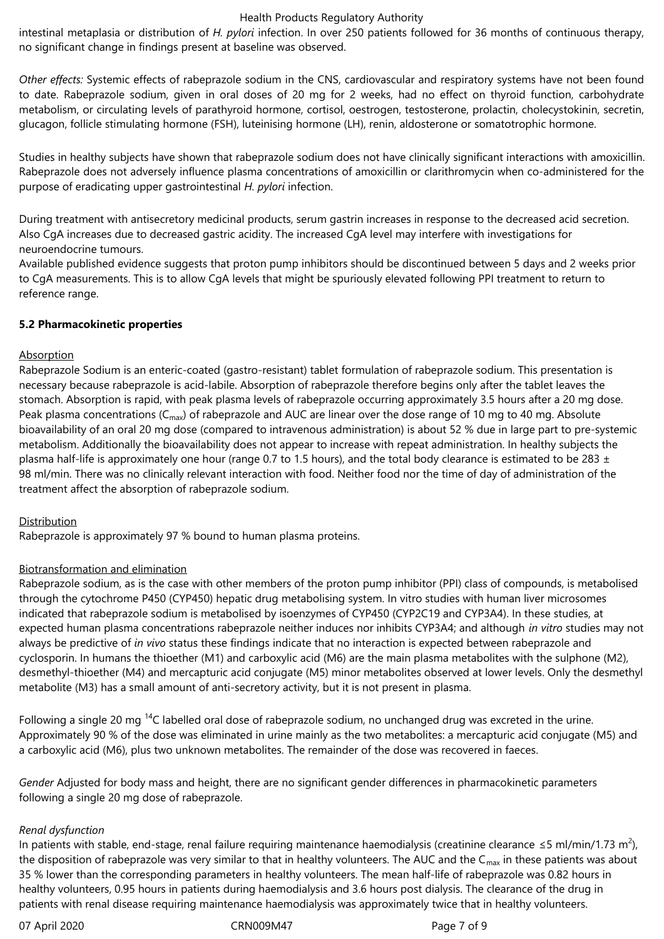intestinal metaplasia or distribution of *H. pylori* infection. In over 250 patients followed for 36 months of continuous therapy, no significant change in findings present at baseline was observed.

*Other effects:* Systemic effects of rabeprazole sodium in the CNS, cardiovascular and respiratory systems have not been found to date. Rabeprazole sodium, given in oral doses of 20 mg for 2 weeks, had no effect on thyroid function, carbohydrate metabolism, or circulating levels of parathyroid hormone, cortisol, oestrogen, testosterone, prolactin, cholecystokinin, secretin, glucagon, follicle stimulating hormone (FSH), luteinising hormone (LH), renin, aldosterone or somatotrophic hormone.

Studies in healthy subjects have shown that rabeprazole sodium does not have clinically significant interactions with amoxicillin. Rabeprazole does not adversely influence plasma concentrations of amoxicillin or clarithromycin when co-administered for the purpose of eradicating upper gastrointestinal *H. pylori* infection.

During treatment with antisecretory medicinal products, serum gastrin increases in response to the decreased acid secretion. Also CgA increases due to decreased gastric acidity. The increased CgA level may interfere with investigations for neuroendocrine tumours.

Available published evidence suggests that proton pump inhibitors should be discontinued between 5 days and 2 weeks prior to CgA measurements. This is to allow CgA levels that might be spuriously elevated following PPI treatment to return to reference range.

# **5.2 Pharmacokinetic properties**

# **Absorption**

Rabeprazole Sodium is an enteric-coated (gastro-resistant) tablet formulation of rabeprazole sodium. This presentation is necessary because rabeprazole is acid-labile. Absorption of rabeprazole therefore begins only after the tablet leaves the stomach. Absorption is rapid, with peak plasma levels of rabeprazole occurring approximately 3.5 hours after a 20 mg dose. Peak plasma concentrations ( $C_{\text{max}}$ ) of rabeprazole and AUC are linear over the dose range of 10 mg to 40 mg. Absolute bioavailability of an oral 20 mg dose (compared to intravenous administration) is about 52 % due in large part to pre-systemic metabolism. Additionally the bioavailability does not appear to increase with repeat administration. In healthy subjects the plasma half-life is approximately one hour (range 0.7 to 1.5 hours), and the total body clearance is estimated to be 283  $\pm$ 98 ml/min. There was no clinically relevant interaction with food. Neither food nor the time of day of administration of the treatment affect the absorption of rabeprazole sodium.

# Distribution

Rabeprazole is approximately 97 % bound to human plasma proteins.

# Biotransformation and elimination

Rabeprazole sodium, as is the case with other members of the proton pump inhibitor (PPI) class of compounds, is metabolised through the cytochrome P450 (CYP450) hepatic drug metabolising system. In vitro studies with human liver microsomes indicated that rabeprazole sodium is metabolised by isoenzymes of CYP450 (CYP2C19 and CYP3A4). In these studies, at expected human plasma concentrations rabeprazole neither induces nor inhibits CYP3A4; and although *in vitro* studies may not always be predictive of *in vivo* status these findings indicate that no interaction is expected between rabeprazole and cyclosporin. In humans the thioether (M1) and carboxylic acid (M6) are the main plasma metabolites with the sulphone (M2), desmethyl-thioether (M4) and mercapturic acid conjugate (M5) minor metabolites observed at lower levels. Only the desmethyl metabolite (M3) has a small amount of anti-secretory activity, but it is not present in plasma.

Following a single 20 mg  $^{14}$ C labelled oral dose of rabeprazole sodium, no unchanged drug was excreted in the urine. Approximately 90 % of the dose was eliminated in urine mainly as the two metabolites: a mercapturic acid conjugate (M5) and a carboxylic acid (M6), plus two unknown metabolites. The remainder of the dose was recovered in faeces.

*Gender* Adjusted for body mass and height, there are no significant gender differences in pharmacokinetic parameters following a single 20 mg dose of rabeprazole.

## *Renal dysfunction*

In patients with stable, end-stage, renal failure requiring maintenance haemodialysis (creatinine clearance ≤5 ml/min/1.73 m<sup>2</sup>), the disposition of rabeprazole was very similar to that in healthy volunteers. The AUC and the C<sub>max</sub> in these patients was about 35 % lower than the corresponding parameters in healthy volunteers. The mean half-life of rabeprazole was 0.82 hours in healthy volunteers, 0.95 hours in patients during haemodialysis and 3.6 hours post dialysis. The clearance of the drug in patients with renal disease requiring maintenance haemodialysis was approximately twice that in healthy volunteers.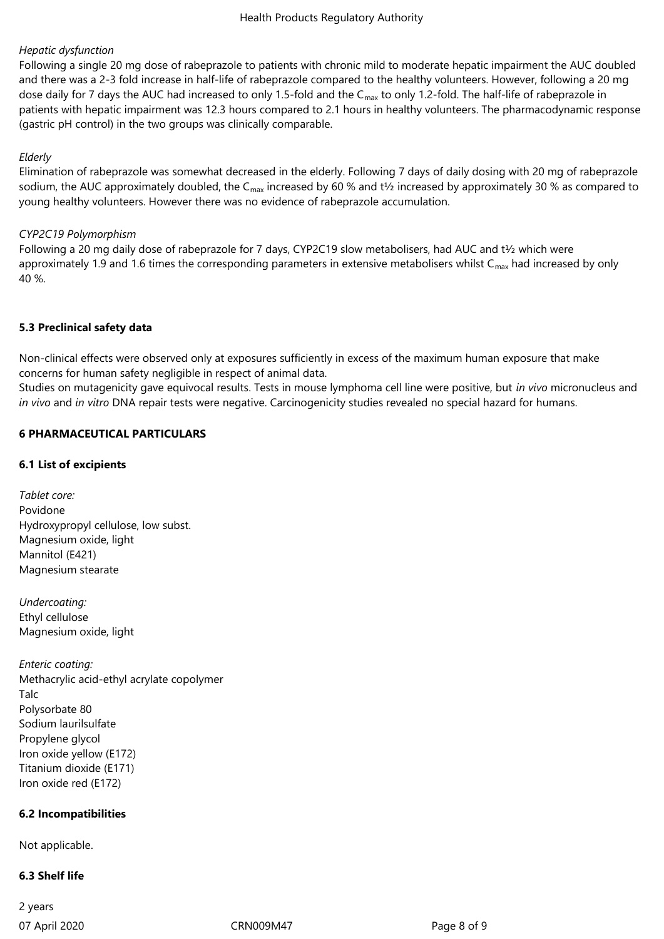# *Hepatic dysfunction*

Following a single 20 mg dose of rabeprazole to patients with chronic mild to moderate hepatic impairment the AUC doubled and there was a 2-3 fold increase in half-life of rabeprazole compared to the healthy volunteers. However, following a 20 mg dose daily for 7 days the AUC had increased to only 1.5-fold and the C<sub>max</sub> to only 1.2-fold. The half-life of rabeprazole in patients with hepatic impairment was 12.3 hours compared to 2.1 hours in healthy volunteers. The pharmacodynamic response (gastric pH control) in the two groups was clinically comparable.

# *Elderly*

Elimination of rabeprazole was somewhat decreased in the elderly. Following 7 days of daily dosing with 20 mg of rabeprazole sodium, the AUC approximately doubled, the C<sub>max</sub> increased by 60 % and t<sup>y</sup><sub>2</sub> increased by approximately 30 % as compared to young healthy volunteers. However there was no evidence of rabeprazole accumulation.

# *CYP2C19 Polymorphism*

Following a 20 mg daily dose of rabeprazole for 7 days, CYP2C19 slow metabolisers, had AUC and t½ which were approximately 1.9 and 1.6 times the corresponding parameters in extensive metabolisers whilst  $C_{\text{max}}$  had increased by only 40 %.

# **5.3 Preclinical safety data**

Non-clinical effects were observed only at exposures sufficiently in excess of the maximum human exposure that make concerns for human safety negligible in respect of animal data.

Studies on mutagenicity gave equivocal results. Tests in mouse lymphoma cell line were positive, but *in vivo* micronucleus and *in vivo* and *in vitro* DNA repair tests were negative. Carcinogenicity studies revealed no special hazard for humans.

# **6 PHARMACEUTICAL PARTICULARS**

# **6.1 List of excipients**

*Tablet core:* Povidone Hydroxypropyl cellulose, low subst. Magnesium oxide, light Mannitol (E421) Magnesium stearate

*Undercoating:* Ethyl cellulose Magnesium oxide, light

*Enteric coating:* Methacrylic acid-ethyl acrylate copolymer Talc Polysorbate 80 Sodium laurilsulfate Propylene glycol Iron oxide yellow (E172) Titanium dioxide (E171) Iron oxide red (E172)

# **6.2 Incompatibilities**

Not applicable.

## **6.3 Shelf life**

07 April 2020 CRN009M47 Page 8 of 9 2 years